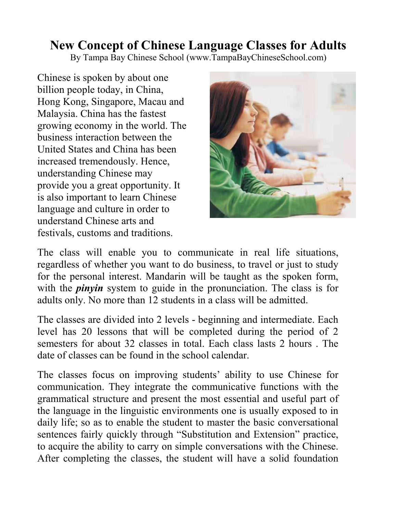## New Concept of Chinese Language Classes for Adults

By Tampa Bay Chinese School (www.TampaBayChineseSchool.com)

Chinese is spoken by about one billion people today, in China, Hong Kong, Singapore, Macau and Malaysia. China has the fastest growing economy in the world. The business interaction between the United States and China has been increased tremendously. Hence, understanding Chinese may provide you a great opportunity. It is also important to learn Chinese language and culture in order to understand Chinese arts and festivals, customs and traditions.



The class will enable you to communicate in real life situations, regardless of whether you want to do business, to travel or just to study for the personal interest. Mandarin will be taught as the spoken form, with the *pinyin* system to guide in the pronunciation. The class is for adults only. No more than 12 students in a class will be admitted.

The classes are divided into 2 levels - beginning and intermediate. Each level has 20 lessons that will be completed during the period of 2 semesters for about 32 classes in total. Each class lasts 2 hours . The date of classes can be found in the school calendar.

The classes focus on improving students' ability to use Chinese for communication. They integrate the communicative functions with the grammatical structure and present the most essential and useful part of the language in the linguistic environments one is usually exposed to in daily life; so as to enable the student to master the basic conversational sentences fairly quickly through "Substitution and Extension" practice, to acquire the ability to carry on simple conversations with the Chinese. After completing the classes, the student will have a solid foundation